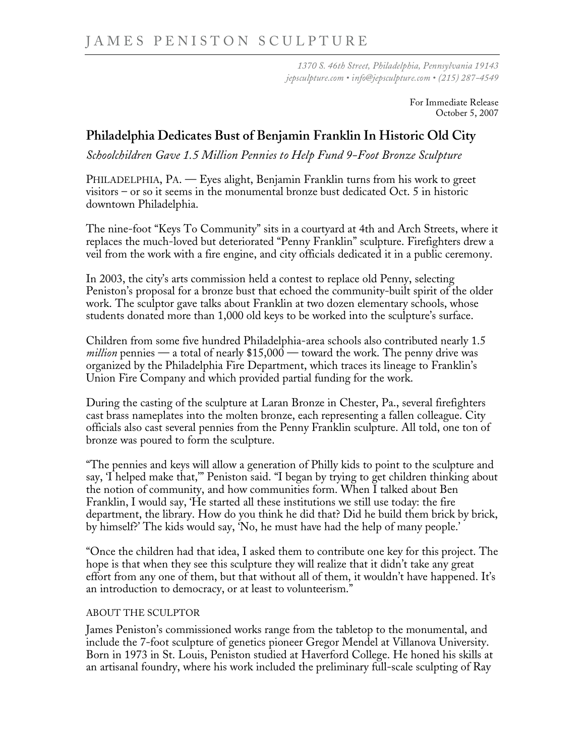*1370 S. 46th Street, Philadelphia, Pennsylvania 19143 jepsculpture.com • info@jepsculpture.com • (215) 287-4549* 

> For Immediate Release October 5, 2007

## **Philadelphia Dedicates Bust of Benjamin Franklin In Historic Old City**

*Schoolchildren Gave 1.5 Million Pennies to Help Fund 9-Foot Bronze Sculpture* 

PHILADELPHIA, PA. — Eyes alight, Benjamin Franklin turns from his work to greet visitors – or so it seems in the monumental bronze bust dedicated Oct. 5 in historic downtown Philadelphia.

The nine-foot "Keys To Community" sits in a courtyard at 4th and Arch Streets, where it replaces the much-loved but deteriorated "Penny Franklin" sculpture. Firefighters drew a veil from the work with a fire engine, and city officials dedicated it in a public ceremony.

In 2003, the city's arts commission held a contest to replace old Penny, selecting Peniston's proposal for a bronze bust that echoed the community-built spirit of the older work. The sculptor gave talks about Franklin at two dozen elementary schools, whose students donated more than 1,000 old keys to be worked into the sculpture's surface.

Children from some five hundred Philadelphia-area schools also contributed nearly 1.5 *million* pennies — a total of nearly \$15,000 — toward the work. The penny drive was organized by the Philadelphia Fire Department, which traces its lineage to Franklin's Union Fire Company and which provided partial funding for the work.

During the casting of the sculpture at Laran Bronze in Chester, Pa., several firefighters cast brass nameplates into the molten bronze, each representing a fallen colleague. City officials also cast several pennies from the Penny Franklin sculpture. All told, one ton of bronze was poured to form the sculpture.

"The pennies and keys will allow a generation of Philly kids to point to the sculpture and say, 'I helped make that,'" Peniston said. "I began by trying to get children thinking about the notion of community, and how communities form. When I talked about Ben Franklin, I would say, 'He started all these institutions we still use today: the fire department, the library. How do you think he did that? Did he build them brick by brick, by himself?' The kids would say, 'No, he must have had the help of many people.'

"Once the children had that idea, I asked them to contribute one key for this project. The hope is that when they see this sculpture they will realize that it didn't take any great effort from any one of them, but that without all of them, it wouldn't have happened. It's an introduction to democracy, or at least to volunteerism."

## ABOUT THE SCULPTOR

James Peniston's commissioned works range from the tabletop to the monumental, and include the 7-foot sculpture of genetics pioneer Gregor Mendel at Villanova University. Born in 1973 in St. Louis, Peniston studied at Haverford College. He honed his skills at an artisanal foundry, where his work included the preliminary full-scale sculpting of Ray